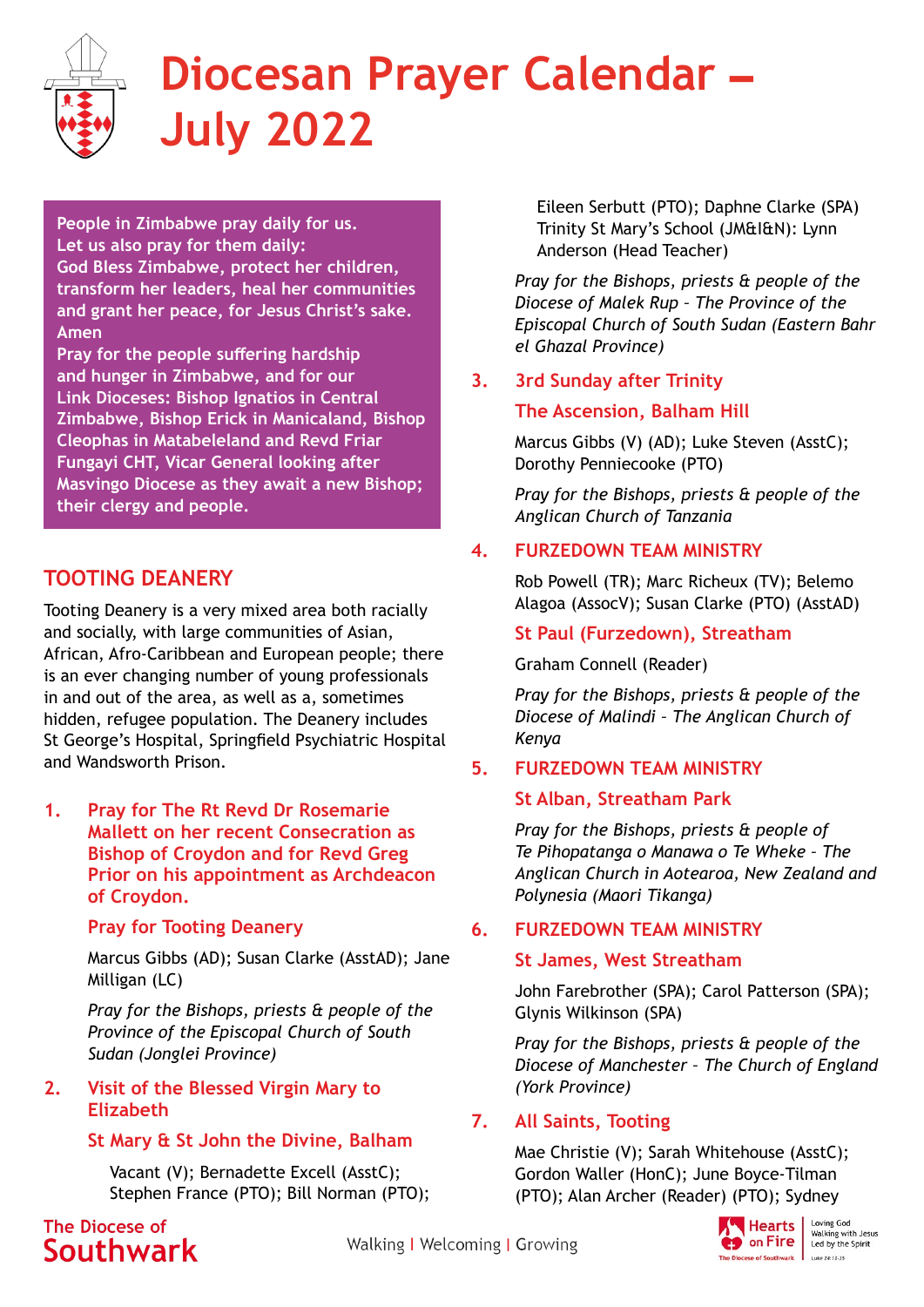

# **Diocesan Prayer Calendar – July 2022**

**People in Zimbabwe pray daily for us. Let us also pray for them daily: God Bless Zimbabwe, protect her children, transform her leaders, heal her communities and grant her peace, for Jesus Christ's sake. Amen**

**Pray for the people suffering hardship and hunger in Zimbabwe, and for our Link Dioceses: Bishop Ignatios in Central Zimbabwe, Bishop Erick in Manicaland, Bishop Cleophas in Matabeleland and Revd Friar Fungayi CHT, Vicar General looking after Masvingo Diocese as they await a new Bishop; their clergy and people.**

# **TOOTING DEANERY**

Tooting Deanery is a very mixed area both racially and socially, with large communities of Asian, African, Afro-Caribbean and European people; there is an ever changing number of young professionals in and out of the area, as well as a, sometimes hidden, refugee population. The Deanery includes St George's Hospital, Springfield Psychiatric Hospital and Wandsworth Prison.

**1. Pray for The Rt Revd Dr Rosemarie Mallett on her recent Consecration as Bishop of Croydon and for Revd Greg Prior on his appointment as Archdeacon of Croydon.**

## **Pray for Tooting Deanery**

Marcus Gibbs (AD); Susan Clarke (AsstAD); Jane Milligan (LC)

*Pray for the Bishops, priests & people of the Province of the Episcopal Church of South Sudan (Jonglei Province)* 

## **2. Visit of the Blessed Virgin Mary to Elizabeth**

# **St Mary & St John the Divine, Balham**

Vacant (V); Bernadette Excell (AsstC); Stephen France (PTO); Bill Norman (PTO);

The Diocese of Southwark Eileen Serbutt (PTO); Daphne Clarke (SPA) Trinity St Mary's School (JM&I&N): Lynn Anderson (Head Teacher)

*Pray for the Bishops, priests & people of the Diocese of Malek Rup – The Province of the Episcopal Church of South Sudan (Eastern Bahr el Ghazal Province)*

# **3. 3rd Sunday after Trinity**

## **The Ascension, Balham Hill**

Marcus Gibbs (V) (AD); Luke Steven (AsstC); Dorothy Penniecooke (PTO)

*Pray for the Bishops, priests & people of the Anglican Church of Tanzania*

# **4. FURZEDOWN TEAM MINISTRY**

Rob Powell (TR); Marc Richeux (TV); Belemo Alagoa (AssocV); Susan Clarke (PTO) (AsstAD)

## **St Paul (Furzedown), Streatham**

## Graham Connell (Reader)

*Pray for the Bishops, priests & people of the Diocese of Malindi – The Anglican Church of Kenya* 

# **5. FURZEDOWN TEAM MINISTRY**

## **St Alban, Streatham Park**

*Pray for the Bishops, priests & people of Te Pihopatanga o Manawa o Te Wheke – The Anglican Church in Aotearoa, New Zealand and Polynesia (Maori Tikanga)* 

# **6. FURZEDOWN TEAM MINISTRY**

## **St James, West Streatham**

John Farebrother (SPA); Carol Patterson (SPA); Glynis Wilkinson (SPA)

*Pray for the Bishops, priests & people of the Diocese of Manchester – The Church of England (York Province)*

# **7. All Saints, Tooting**

Mae Christie (V); Sarah Whitehouse (AsstC); Gordon Waller (HonC); June Boyce-Tilman (PTO); Alan Archer (Reader) (PTO); Sydney

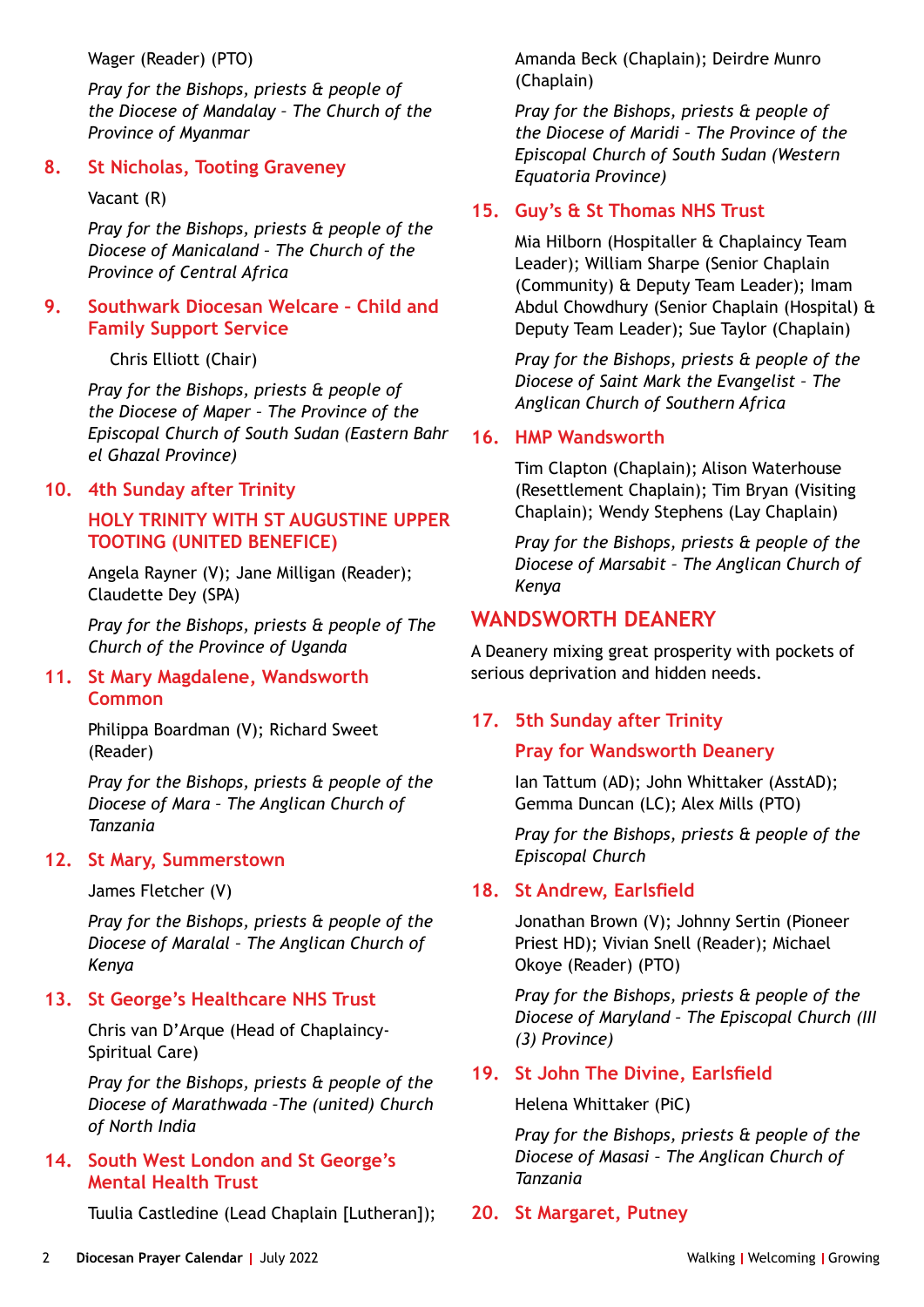Wager (Reader) (PTO)

*Pray for the Bishops, priests & people of the Diocese of Mandalay – The Church of the Province of Myanmar* 

#### **8. St Nicholas, Tooting Graveney**

#### Vacant (R)

*Pray for the Bishops, priests & people of the Diocese of Manicaland – The Church of the Province of Central Africa* 

## **9. Southwark Diocesan Welcare – Child and Family Support Service**

Chris Elliott (Chair)

*Pray for the Bishops, priests & people of the Diocese of Maper – The Province of the Episcopal Church of South Sudan (Eastern Bahr el Ghazal Province)* 

## **10. 4th Sunday after Trinity**

# **HOLY TRINITY WITH ST AUGUSTINE UPPER TOOTING (UNITED BENEFICE)**

Angela Rayner (V); Jane Milligan (Reader); Claudette Dey (SPA)

*Pray for the Bishops, priests & people of The Church of the Province of Uganda*

#### **11. St Mary Magdalene, Wandsworth Common**

Philippa Boardman (V); Richard Sweet (Reader)

*Pray for the Bishops, priests & people of the Diocese of Mara – The Anglican Church of Tanzania* 

## **12. St Mary, Summerstown**

James Fletcher (V)

*Pray for the Bishops, priests & people of the Diocese of Maralal – The Anglican Church of Kenya*

# **13. St George's Healthcare NHS Trust**

Chris van D'Arque (Head of Chaplaincy-Spiritual Care)

*Pray for the Bishops, priests & people of the Diocese of Marathwada –The (united) Church of North India* 

## **14. South West London and St George's Mental Health Trust**

Tuulia Castledine (Lead Chaplain [Lutheran]);

Amanda Beck (Chaplain); Deirdre Munro (Chaplain)

*Pray for the Bishops, priests & people of the Diocese of Maridi – The Province of the Episcopal Church of South Sudan (Western Equatoria Province)*

# **15. Guy's & St Thomas NHS Trust**

Mia Hilborn (Hospitaller & Chaplaincy Team Leader); William Sharpe (Senior Chaplain (Community) & Deputy Team Leader); Imam Abdul Chowdhury (Senior Chaplain (Hospital) & Deputy Team Leader); Sue Taylor (Chaplain)

*Pray for the Bishops, priests & people of the Diocese of Saint Mark the Evangelist – The Anglican Church of Southern Africa* 

## **16. HMP Wandsworth**

Tim Clapton (Chaplain); Alison Waterhouse (Resettlement Chaplain); Tim Bryan (Visiting Chaplain); Wendy Stephens (Lay Chaplain)

*Pray for the Bishops, priests & people of the Diocese of Marsabit – The Anglican Church of Kenya*

# **WANDSWORTH DEANERY**

A Deanery mixing great prosperity with pockets of serious deprivation and hidden needs.

# **17. 5th Sunday after Trinity**

## **Pray for Wandsworth Deanery**

Ian Tattum (AD); John Whittaker (AsstAD); Gemma Duncan (LC); Alex Mills (PTO)

*Pray for the Bishops, priests & people of the Episcopal Church*

## **18. St Andrew, Earlsfield**

Jonathan Brown (V); Johnny Sertin (Pioneer Priest HD); Vivian Snell (Reader); Michael Okoye (Reader) (PTO)

*Pray for the Bishops, priests & people of the Diocese of Maryland – The Episcopal Church (III (3) Province)* 

# **19. St John The Divine, Earlsfield**

#### Helena Whittaker (PiC)

*Pray for the Bishops, priests & people of the Diocese of Masasi – The Anglican Church of Tanzania* 

# **20. St Margaret, Putney**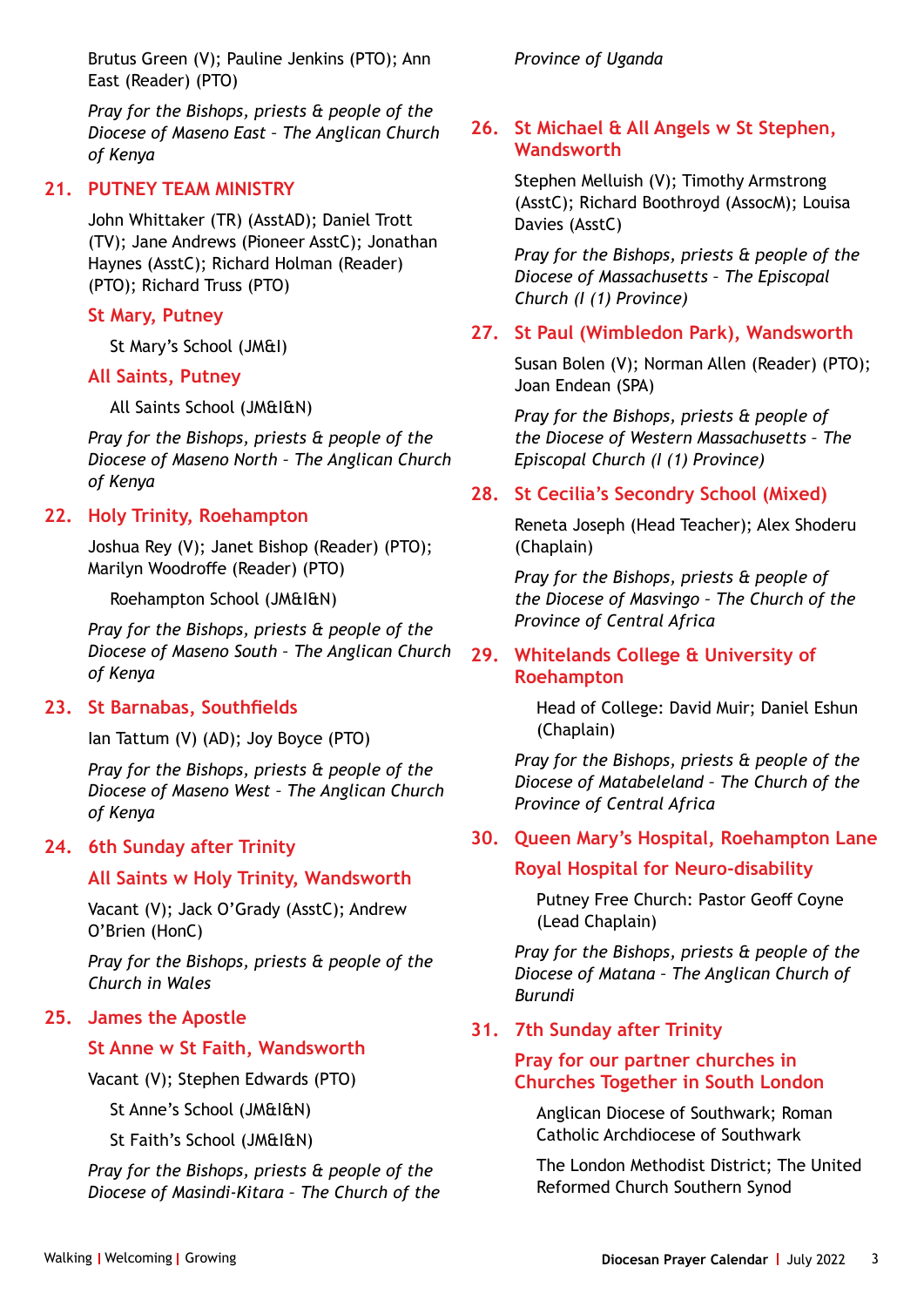Brutus Green (V); Pauline Jenkins (PTO); Ann East (Reader) (PTO)

*Pray for the Bishops, priests & people of the Diocese of Maseno East – The Anglican Church of Kenya* 

## **21. PUTNEY TEAM MINISTRY**

John Whittaker (TR) (AsstAD); Daniel Trott (TV); Jane Andrews (Pioneer AsstC); Jonathan Haynes (AsstC); Richard Holman (Reader) (PTO); Richard Truss (PTO)

#### **St Mary, Putney**

St Mary's School (JM&I)

#### **All Saints, Putney**

All Saints School (JM&I&N)

*Pray for the Bishops, priests & people of the Diocese of Maseno North – The Anglican Church of Kenya* 

## **22. Holy Trinity, Roehampton**

Joshua Rey (V); Janet Bishop (Reader) (PTO); Marilyn Woodroffe (Reader) (PTO)

Roehampton School (JM&I&N)

*Pray for the Bishops, priests & people of the Diocese of Maseno South – The Anglican Church of Kenya*

#### **23. St Barnabas, Southfields**

Ian Tattum (V) (AD); Joy Boyce (PTO)

*Pray for the Bishops, priests & people of the Diocese of Maseno West – The Anglican Church of Kenya*

## **24. 6th Sunday after Trinity**

#### **All Saints w Holy Trinity, Wandsworth**

Vacant (V); Jack O'Grady (AsstC); Andrew O'Brien (HonC)

*Pray for the Bishops, priests & people of the Church in Wales* 

#### **25. James the Apostle**

#### **St Anne w St Faith, Wandsworth**

Vacant (V); Stephen Edwards (PTO)

St Anne's School (JM&I&N)

St Faith's School (JM&I&N)

*Pray for the Bishops, priests & people of the Diocese of Masindi-Kitara – The Church of the* 

#### *Province of Uganda*

## **26. St Michael & All Angels w St Stephen, Wandsworth**

Stephen Melluish (V); Timothy Armstrong (AsstC); Richard Boothroyd (AssocM); Louisa Davies (AsstC)

*Pray for the Bishops, priests & people of the Diocese of Massachusetts – The Episcopal Church (I (1) Province)* 

## **27. St Paul (Wimbledon Park), Wandsworth**

Susan Bolen (V); Norman Allen (Reader) (PTO); Joan Endean (SPA)

*Pray for the Bishops, priests & people of the Diocese of Western Massachusetts – The Episcopal Church (I (1) Province)* 

#### **28. St Cecilia's Secondry School (Mixed)**

Reneta Joseph (Head Teacher); Alex Shoderu (Chaplain)

*Pray for the Bishops, priests & people of the Diocese of Masvingo – The Church of the Province of Central Africa* 

## **29. Whitelands College & University of Roehampton**

Head of College: David Muir; Daniel Eshun (Chaplain)

*Pray for the Bishops, priests & people of the Diocese of Matabeleland – The Church of the Province of Central Africa* 

## **30. Queen Mary's Hospital, Roehampton Lane**

#### **Royal Hospital for Neuro-disability**

Putney Free Church: Pastor Geoff Coyne (Lead Chaplain)

*Pray for the Bishops, priests & people of the Diocese of Matana – The Anglican Church of Burundi* 

#### **31. 7th Sunday after Trinity**

#### **Pray for our partner churches in Churches Together in South London**

Anglican Diocese of Southwark; Roman Catholic Archdiocese of Southwark

The London Methodist District; The United Reformed Church Southern Synod